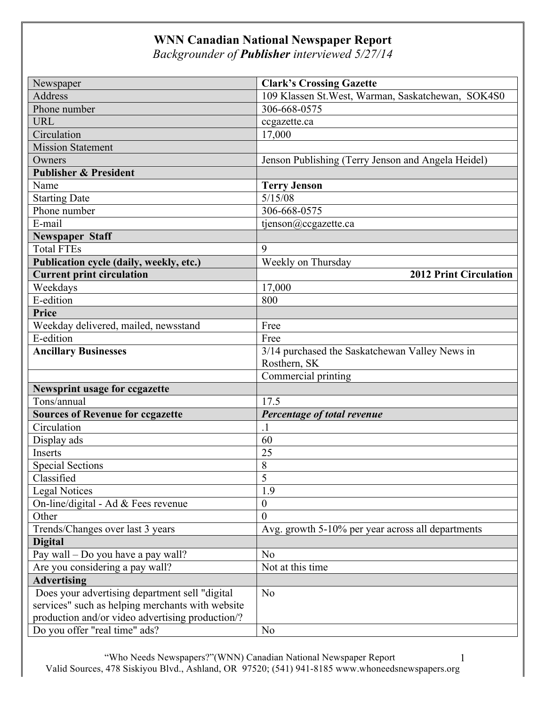## **WNN Canadian National Newspaper Report**

*Backgrounder of Publisher interviewed 5/27/14*

| Newspaper                                        | <b>Clark's Crossing Gazette</b>                    |
|--------------------------------------------------|----------------------------------------------------|
| <b>Address</b>                                   | 109 Klassen St. West, Warman, Saskatchewan, SOK4S0 |
| Phone number                                     | 306-668-0575                                       |
| <b>URL</b>                                       | ccgazette.ca                                       |
| Circulation                                      | 17,000                                             |
| <b>Mission Statement</b>                         |                                                    |
| Owners                                           | Jenson Publishing (Terry Jenson and Angela Heidel) |
| <b>Publisher &amp; President</b>                 |                                                    |
| Name                                             | <b>Terry Jenson</b>                                |
| <b>Starting Date</b>                             | 5/15/08                                            |
| Phone number                                     | 306-668-0575                                       |
| E-mail                                           | tjenson@ccgazette.ca                               |
| <b>Newspaper Staff</b>                           |                                                    |
| <b>Total FTEs</b>                                | 9                                                  |
| Publication cycle (daily, weekly, etc.)          | Weekly on Thursday                                 |
| <b>Current print circulation</b>                 | <b>2012 Print Circulation</b>                      |
| Weekdays                                         | 17,000                                             |
| E-edition                                        | 800                                                |
| Price                                            |                                                    |
| Weekday delivered, mailed, newsstand             | Free                                               |
| E-edition                                        | Free                                               |
| <b>Ancillary Businesses</b>                      | 3/14 purchased the Saskatchewan Valley News in     |
|                                                  | Rosthern, SK                                       |
|                                                  | Commercial printing                                |
| Newsprint usage for ccgazette                    |                                                    |
| Tons/annual                                      | 17.5                                               |
| <b>Sources of Revenue for ccgazette</b>          | Percentage of total revenue                        |
| Circulation                                      | $\cdot$ 1                                          |
| Display ads                                      | 60                                                 |
| Inserts                                          | 25                                                 |
| <b>Special Sections</b>                          | $8\,$                                              |
| Classified                                       | $\overline{5}$                                     |
| <b>Legal Notices</b>                             | 1.9                                                |
| On-line/digital - Ad & Fees revenue              | $\boldsymbol{0}$                                   |
| Other                                            | $\mathbf{0}$                                       |
| Trends/Changes over last 3 years                 | Avg. growth 5-10% per year across all departments  |
| <b>Digital</b>                                   |                                                    |
| Pay wall – Do you have a pay wall?               | No                                                 |
| Are you considering a pay wall?                  | Not at this time                                   |
| <b>Advertising</b>                               |                                                    |
| Does your advertising department sell "digital   | N <sub>o</sub>                                     |
| services" such as helping merchants with website |                                                    |
| production and/or video advertising production/? |                                                    |
| Do you offer "real time" ads?                    | N <sub>o</sub>                                     |

 "Who Needs Newspapers?"(WNN) Canadian National Newspaper Report Valid Sources, 478 Siskiyou Blvd., Ashland, OR 97520; (541) 941-8185 www.whoneedsnewspapers.org 1